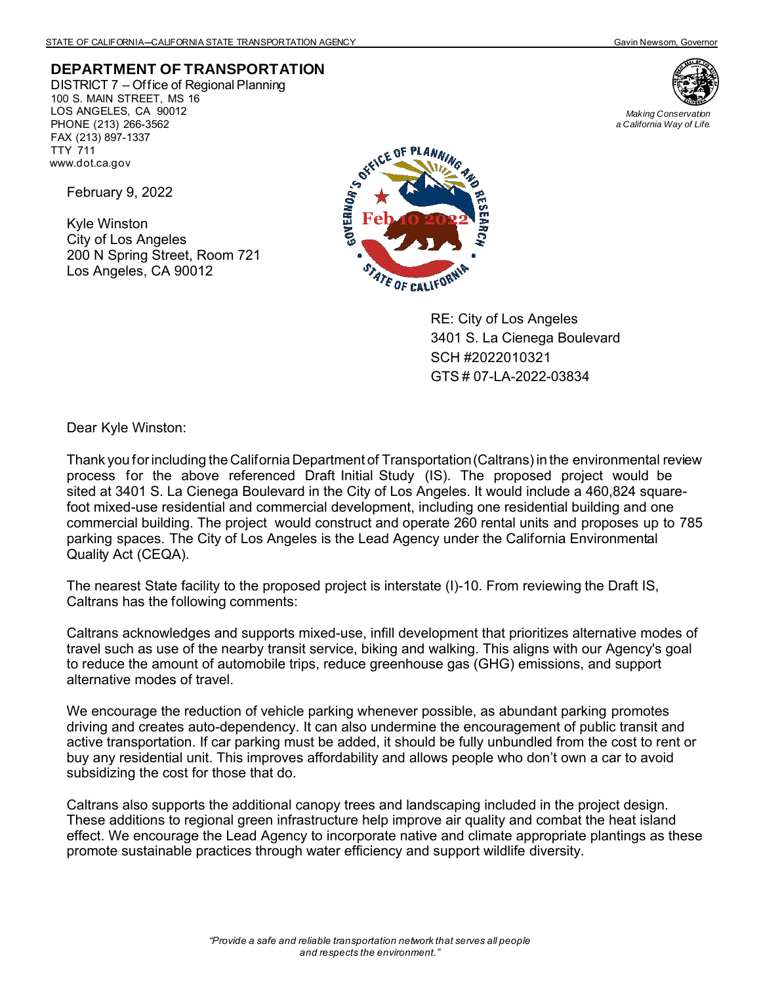*Making Conservation a California Way of Life.*

## **DEPARTMENT OF TRANSPORTATION**

DISTRICT 7 – Office of Regional Planning 100 S. MAIN STREET, MS 16 LOS ANGELES, CA 90012 PHONE (213) 266-3562 FAX (213) 897-1337 TTY 711 www.dot.ca.gov

February 9, 2022

Kyle Winston City of Los Angeles 200 N Spring Street, Room 721 Los Angeles, CA 90012



RE: City of Los Angeles 3401 S. La Cienega Boulevard SCH #2022010321 GTS # 07-LA-2022-03834

Dear Kyle Winston:

Thank you for including the California Department of Transportation (Caltrans) in the environmental review process for the above referenced Draft Initial Study (IS). The proposed project would be sited at 3401 S. La Cienega Boulevard in the City of Los Angeles. It would include a 460,824 squarefoot mixed-use residential and commercial development, including one residential building and one commercial building. The project would construct and operate 260 rental units and proposes up to 785 parking spaces. The City of Los Angeles is the Lead Agency under the California Environmental Quality Act (CEQA).

The nearest State facility to the proposed project is interstate (I)-10. From reviewing the Draft IS, Caltrans has the following comments:

Caltrans acknowledges and supports mixed-use, infill development that prioritizes alternative modes of travel such as use of the nearby transit service, biking and walking. This aligns with our Agency's goal to reduce the amount of automobile trips, reduce greenhouse gas (GHG) emissions, and support alternative modes of travel.

We encourage the reduction of vehicle parking whenever possible, as abundant parking promotes driving and creates auto-dependency. It can also undermine the encouragement of public transit and active transportation. If car parking must be added, it should be fully unbundled from the cost to rent or buy any residential unit. This improves affordability and allows people who don't own a car to avoid subsidizing the cost for those that do.

Caltrans also supports the additional canopy trees and landscaping included in the project design. These additions to regional green infrastructure help improve air quality and combat the heat island effect. We encourage the Lead Agency to incorporate native and climate appropriate plantings as these promote sustainable practices through water efficiency and support wildlife diversity.